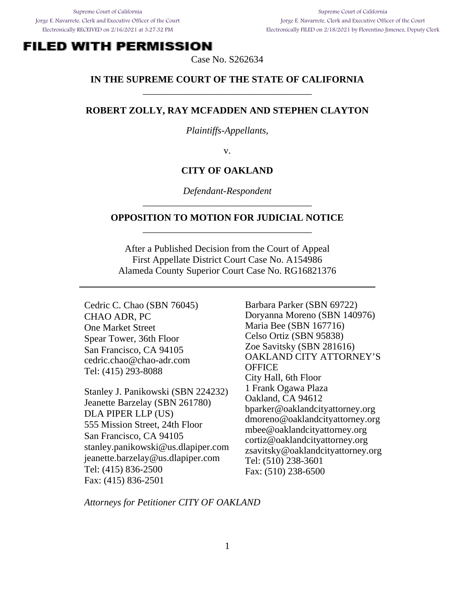Supreme Court of California Jorge E. Navarrete, Clerk and Executive Officer of the Court Electronically FILED on 2/18/2021 by Florentino Jimenez, Deputy Clerk

# **FILED WITH PERMISSION**

Case No. S262634

### **IN THE SUPREME COURT OF THE STATE OF CALIFORNIA**  \_\_\_\_\_\_\_\_\_\_\_\_\_\_\_\_\_\_\_\_\_\_\_\_\_\_\_\_\_\_\_\_\_\_\_

#### **ROBERT ZOLLY, RAY MCFADDEN AND STEPHEN CLAYTON**

*Plaintiffs-Appellants*,

v.

#### **CITY OF OAKLAND**

*Defendant-Respondent*  \_\_\_\_\_\_\_\_\_\_\_\_\_\_\_\_\_\_\_\_\_\_\_\_\_\_\_\_\_\_\_\_\_\_\_

#### **OPPOSITION TO MOTION FOR JUDICIAL NOTICE**  \_\_\_\_\_\_\_\_\_\_\_\_\_\_\_\_\_\_\_\_\_\_\_\_\_\_\_\_\_\_\_\_\_\_\_

After a Published Decision from the Court of Appeal First Appellate District Court Case No. A154986 Alameda County Superior Court Case No. RG16821376

Cedric C. Chao (SBN 76045) CHAO ADR, PC One Market Street Spear Tower, 36th Floor San Francisco, CA 94105 cedric.chao@chao-adr.com Tel: (415) 293-8088

Stanley J. Panikowski (SBN 224232) Jeanette Barzelay (SBN 261780) DLA PIPER LLP (US) 555 Mission Street, 24th Floor San Francisco, CA 94105 stanley.panikowski@us.dlapiper.com jeanette.barzelay@us.dlapiper.com Tel: (415) 836-2500 Fax: (415) 836-2501

Barbara Parker (SBN 69722) Doryanna Moreno (SBN 140976) Maria Bee (SBN 167716) Celso Ortiz (SBN 95838) Zoe Savitsky (SBN 281616) OAKLAND CITY ATTORNEY'S **OFFICE** City Hall, 6th Floor 1 Frank Ogawa Plaza Oakland, CA 94612 bparker@oaklandcityattorney.org dmoreno@oaklandcityattorney.org mbee@oaklandcityattorney.org cortiz@oaklandcityattorney.org zsavitsky@oaklandcityattorney.org Tel: (510) 238-3601 Fax: (510) 238-6500

*Attorneys for Petitioner CITY OF OAKLAND*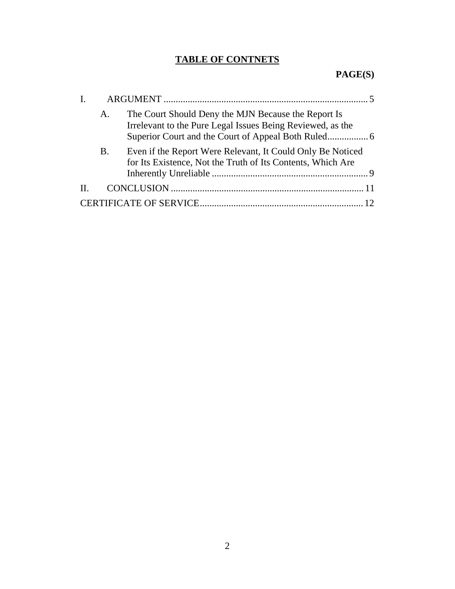# **TABLE OF CONTNETS**

# **PAGE(S)**

| L.      |           |                                                                                                                           |  |
|---------|-----------|---------------------------------------------------------------------------------------------------------------------------|--|
|         | A.        | The Court Should Deny the MJN Because the Report Is<br>Irrelevant to the Pure Legal Issues Being Reviewed, as the         |  |
|         | <b>B.</b> | Even if the Report Were Relevant, It Could Only Be Noticed<br>for Its Existence, Not the Truth of Its Contents, Which Are |  |
| $\Pi$ . |           |                                                                                                                           |  |
|         |           |                                                                                                                           |  |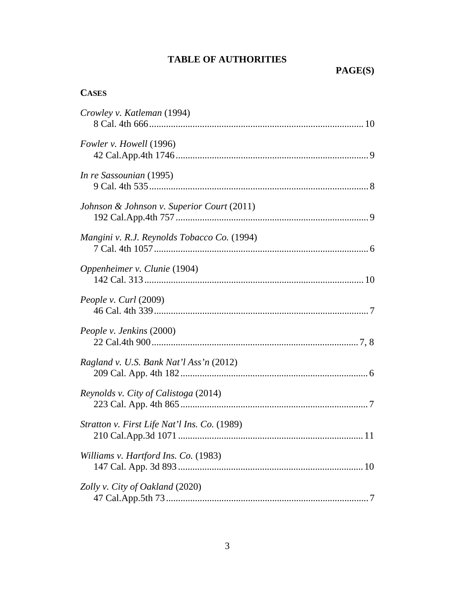## **TABLE OF AUTHORITIES**

## **CASES**

| Crowley v. Katleman (1994)                   |
|----------------------------------------------|
| Fowler v. Howell (1996)                      |
| In re Sassounian (1995)                      |
| Johnson & Johnson v. Superior Court (2011)   |
| Mangini v. R.J. Reynolds Tobacco Co. (1994)  |
| Oppenheimer v. Clunie (1904)                 |
| <i>People v. Curl</i> (2009)                 |
| People v. Jenkins (2000)                     |
| Ragland v. U.S. Bank Nat'l Ass'n (2012)      |
| Reynolds v. City of Calistoga (2014)         |
| Stratton v. First Life Nat'l Ins. Co. (1989) |
| Williams v. Hartford Ins. Co. (1983)         |
| Zolly v. City of Oakland (2020)              |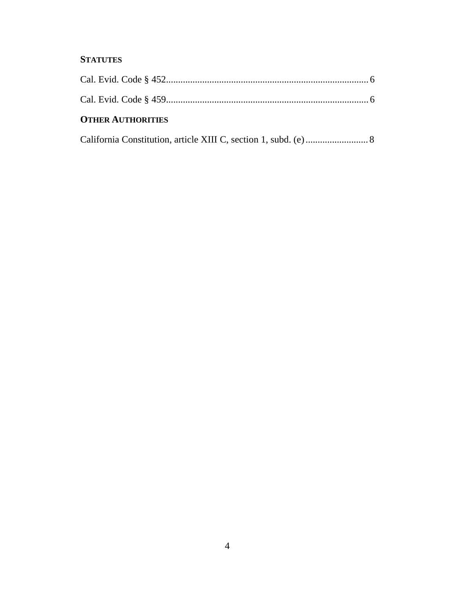## **STATUTES**

| <b>OTHER AUTHORITIES</b> |  |
|--------------------------|--|
|                          |  |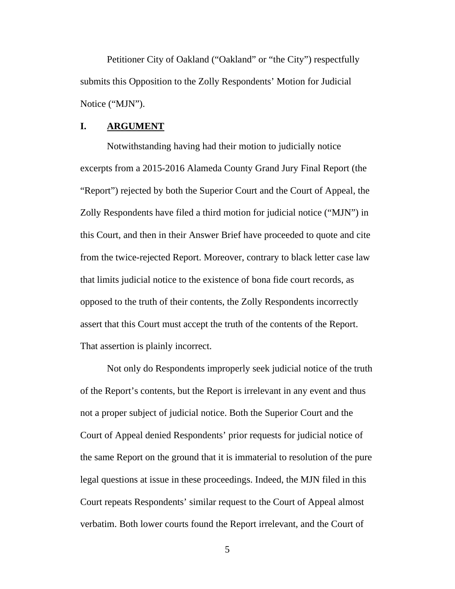Petitioner City of Oakland ("Oakland" or "the City") respectfully submits this Opposition to the Zolly Respondents' Motion for Judicial Notice ("MJN").

#### **I. ARGUMENT**

Notwithstanding having had their motion to judicially notice excerpts from a 2015-2016 Alameda County Grand Jury Final Report (the "Report") rejected by both the Superior Court and the Court of Appeal, the Zolly Respondents have filed a third motion for judicial notice ("MJN") in this Court, and then in their Answer Brief have proceeded to quote and cite from the twice-rejected Report. Moreover, contrary to black letter case law that limits judicial notice to the existence of bona fide court records, as opposed to the truth of their contents, the Zolly Respondents incorrectly assert that this Court must accept the truth of the contents of the Report. That assertion is plainly incorrect.

Not only do Respondents improperly seek judicial notice of the truth of the Report's contents, but the Report is irrelevant in any event and thus not a proper subject of judicial notice. Both the Superior Court and the Court of Appeal denied Respondents' prior requests for judicial notice of the same Report on the ground that it is immaterial to resolution of the pure legal questions at issue in these proceedings. Indeed, the MJN filed in this Court repeats Respondents' similar request to the Court of Appeal almost verbatim. Both lower courts found the Report irrelevant, and the Court of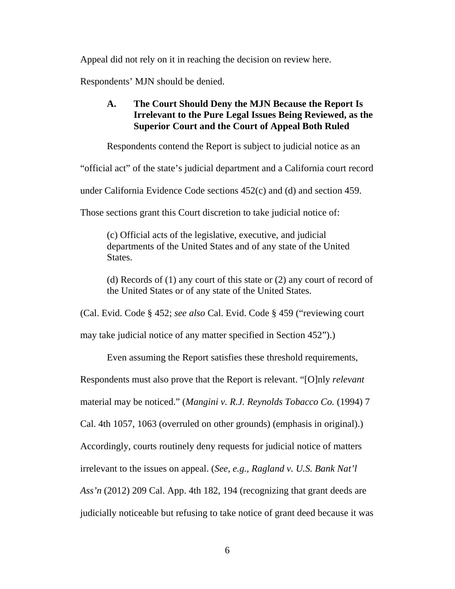Appeal did not rely on it in reaching the decision on review here.

Respondents' MJN should be denied.

## **A. The Court Should Deny the MJN Because the Report Is Irrelevant to the Pure Legal Issues Being Reviewed, as the Superior Court and the Court of Appeal Both Ruled**

Respondents contend the Report is subject to judicial notice as an

"official act" of the state's judicial department and a California court record

under California Evidence Code sections 452(c) and (d) and section 459.

Those sections grant this Court discretion to take judicial notice of:

(c) Official acts of the legislative, executive, and judicial departments of the United States and of any state of the United States.

(d) Records of (1) any court of this state or (2) any court of record of the United States or of any state of the United States.

(Cal. Evid. Code § 452; *see also* Cal. Evid. Code § 459 ("reviewing court

may take judicial notice of any matter specified in Section 452").)

Even assuming the Report satisfies these threshold requirements,

Respondents must also prove that the Report is relevant. "[O]nly *relevant*

material may be noticed." (*Mangini v. R.J. Reynolds Tobacco Co.* (1994) 7

Cal. 4th 1057, 1063 (overruled on other grounds) (emphasis in original).)

Accordingly, courts routinely deny requests for judicial notice of matters

irrelevant to the issues on appeal. (*See, e.g., Ragland v. U.S. Bank Nat'l* 

*Ass'n* (2012) 209 Cal. App. 4th 182, 194 (recognizing that grant deeds are

judicially noticeable but refusing to take notice of grant deed because it was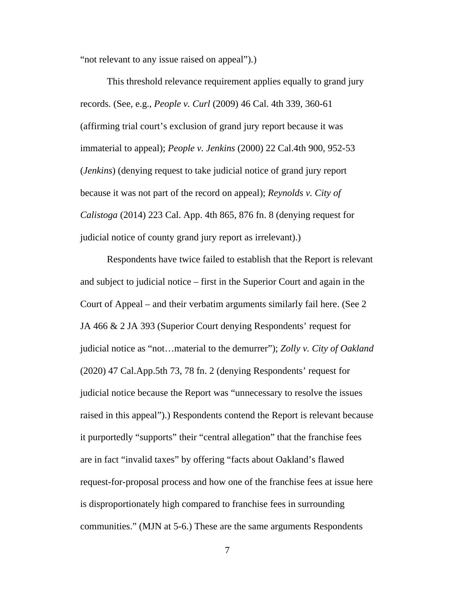"not relevant to any issue raised on appeal").)

This threshold relevance requirement applies equally to grand jury records. (See, e.g., *People v. Curl* (2009) 46 Cal. 4th 339, 360-61 (affirming trial court's exclusion of grand jury report because it was immaterial to appeal); *People v. Jenkins* (2000) 22 Cal.4th 900, 952-53 (*Jenkins*) (denying request to take judicial notice of grand jury report because it was not part of the record on appeal); *Reynolds v. City of Calistoga* (2014) 223 Cal. App. 4th 865, 876 fn. 8 (denying request for judicial notice of county grand jury report as irrelevant).)

Respondents have twice failed to establish that the Report is relevant and subject to judicial notice – first in the Superior Court and again in the Court of Appeal – and their verbatim arguments similarly fail here. (See 2 JA 466 & 2 JA 393 (Superior Court denying Respondents' request for judicial notice as "not…material to the demurrer"); *Zolly v. City of Oakland*  (2020) 47 Cal.App.5th 73, 78 fn. 2 (denying Respondents' request for judicial notice because the Report was "unnecessary to resolve the issues raised in this appeal").) Respondents contend the Report is relevant because it purportedly "supports" their "central allegation" that the franchise fees are in fact "invalid taxes" by offering "facts about Oakland's flawed request-for-proposal process and how one of the franchise fees at issue here is disproportionately high compared to franchise fees in surrounding communities." (MJN at 5-6.) These are the same arguments Respondents

7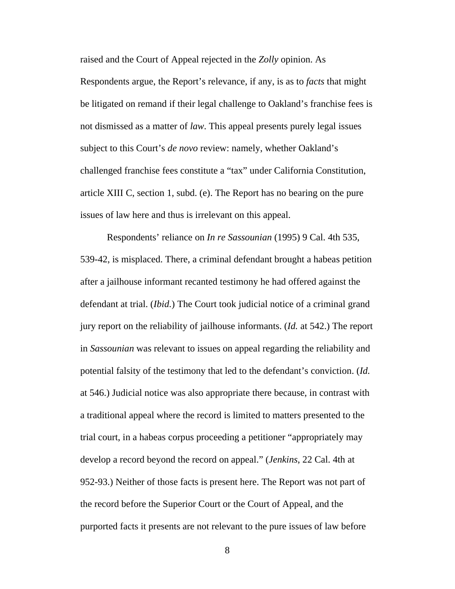raised and the Court of Appeal rejected in the *Zolly* opinion. As Respondents argue, the Report's relevance, if any, is as to *facts* that might be litigated on remand if their legal challenge to Oakland's franchise fees is not dismissed as a matter of *law*. This appeal presents purely legal issues subject to this Court's *de novo* review: namely, whether Oakland's challenged franchise fees constitute a "tax" under California Constitution, article XIII C, section 1, subd. (e). The Report has no bearing on the pure issues of law here and thus is irrelevant on this appeal.

Respondents' reliance on *In re Sassounian* (1995) 9 Cal. 4th 535, 539-42, is misplaced. There, a criminal defendant brought a habeas petition after a jailhouse informant recanted testimony he had offered against the defendant at trial. (*Ibid.*) The Court took judicial notice of a criminal grand jury report on the reliability of jailhouse informants. (*Id.* at 542.) The report in *Sassounian* was relevant to issues on appeal regarding the reliability and potential falsity of the testimony that led to the defendant's conviction. (*Id.* at 546.) Judicial notice was also appropriate there because, in contrast with a traditional appeal where the record is limited to matters presented to the trial court, in a habeas corpus proceeding a petitioner "appropriately may develop a record beyond the record on appeal." (*Jenkins*, 22 Cal. 4th at 952-93.) Neither of those facts is present here. The Report was not part of the record before the Superior Court or the Court of Appeal, and the purported facts it presents are not relevant to the pure issues of law before

8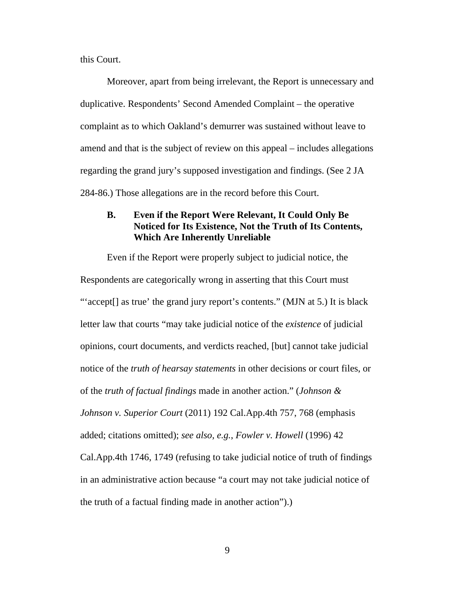this Court.

Moreover, apart from being irrelevant, the Report is unnecessary and duplicative. Respondents' Second Amended Complaint – the operative complaint as to which Oakland's demurrer was sustained without leave to amend and that is the subject of review on this appeal – includes allegations regarding the grand jury's supposed investigation and findings. (See 2 JA 284-86.) Those allegations are in the record before this Court.

## **B. Even if the Report Were Relevant, It Could Only Be Noticed for Its Existence, Not the Truth of Its Contents, Which Are Inherently Unreliable**

Even if the Report were properly subject to judicial notice, the Respondents are categorically wrong in asserting that this Court must "'accept[] as true' the grand jury report's contents." (MJN at 5.) It is black letter law that courts "may take judicial notice of the *existence* of judicial opinions, court documents, and verdicts reached, [but] cannot take judicial notice of the *truth of hearsay statements* in other decisions or court files, or of the *truth of factual findings* made in another action." (*Johnson & Johnson v. Superior Court* (2011) 192 Cal.App.4th 757, 768 (emphasis added; citations omitted); *see also, e.g.*, *Fowler v. Howell* (1996) 42 Cal.App.4th 1746, 1749 (refusing to take judicial notice of truth of findings in an administrative action because "a court may not take judicial notice of the truth of a factual finding made in another action").)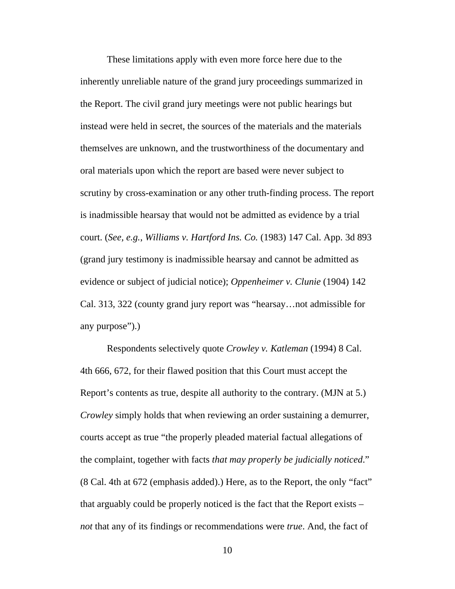These limitations apply with even more force here due to the inherently unreliable nature of the grand jury proceedings summarized in the Report. The civil grand jury meetings were not public hearings but instead were held in secret, the sources of the materials and the materials themselves are unknown, and the trustworthiness of the documentary and oral materials upon which the report are based were never subject to scrutiny by cross-examination or any other truth-finding process. The report is inadmissible hearsay that would not be admitted as evidence by a trial court. (*See, e.g.*, *Williams v. Hartford Ins. Co.* (1983) 147 Cal. App. 3d 893 (grand jury testimony is inadmissible hearsay and cannot be admitted as evidence or subject of judicial notice); *Oppenheimer v. Clunie* (1904) 142 Cal. 313, 322 (county grand jury report was "hearsay…not admissible for any purpose").)

Respondents selectively quote *Crowley v. Katleman* (1994) 8 Cal. 4th 666, 672, for their flawed position that this Court must accept the Report's contents as true, despite all authority to the contrary. (MJN at 5.) *Crowley* simply holds that when reviewing an order sustaining a demurrer, courts accept as true "the properly pleaded material factual allegations of the complaint, together with facts *that may properly be judicially noticed*." (8 Cal. 4th at 672 (emphasis added).) Here, as to the Report, the only "fact" that arguably could be properly noticed is the fact that the Report exists – *not* that any of its findings or recommendations were *true*. And, the fact of

10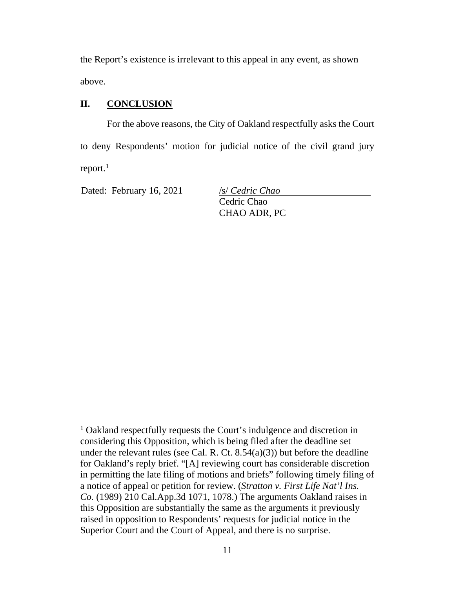the Report's existence is irrelevant to this appeal in any event, as shown above.

## **II. CONCLUSION**

For the above reasons, the City of Oakland respectfully asks the Court to deny Respondents' motion for judicial notice of the civil grand jury report. $<sup>1</sup>$ </sup>

Dated: February 16, 2021 /s/ *Cedric Chao* 

Cedric Chao CHAO ADR, PC

<sup>&</sup>lt;sup>1</sup> Oakland respectfully requests the Court's indulgence and discretion in considering this Opposition, which is being filed after the deadline set under the relevant rules (see Cal. R. Ct.  $8.54(a)(3)$ ) but before the deadline for Oakland's reply brief. "[A] reviewing court has considerable discretion in permitting the late filing of motions and briefs" following timely filing of a notice of appeal or petition for review. (*Stratton v. First Life Nat'l Ins. Co.* (1989) 210 Cal.App.3d 1071, 1078.) The arguments Oakland raises in this Opposition are substantially the same as the arguments it previously raised in opposition to Respondents' requests for judicial notice in the Superior Court and the Court of Appeal, and there is no surprise.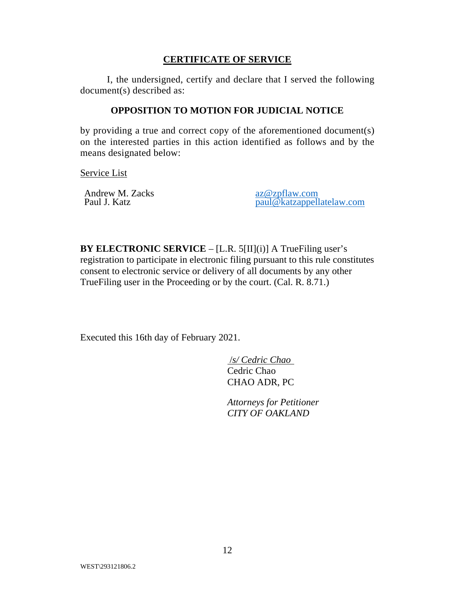## **CERTIFICATE OF SERVICE**

I, the undersigned, certify and declare that I served the following document(s) described as:

### **OPPOSITION TO MOTION FOR JUDICIAL NOTICE**

by providing a true and correct copy of the aforementioned document(s) on the interested parties in this action identified as follows and by the means designated below:

Service List

Andrew M. Zacks<br>
Paul J. Katz<br>
Paul J. Katz<br>
Paul Matzannell

paul@katzappellatelaw.com

**BY ELECTRONIC SERVICE** – [L.R. 5[II](i)] A TrueFiling user's registration to participate in electronic filing pursuant to this rule constitutes consent to electronic service or delivery of all documents by any other TrueFiling user in the Proceeding or by the court. (Cal. R. 8.71.)

Executed this 16th day of February 2021.

 /*s/ Cedric Chao*  Cedric Chao CHAO ADR, PC

*Attorneys for Petitioner CITY OF OAKLAND*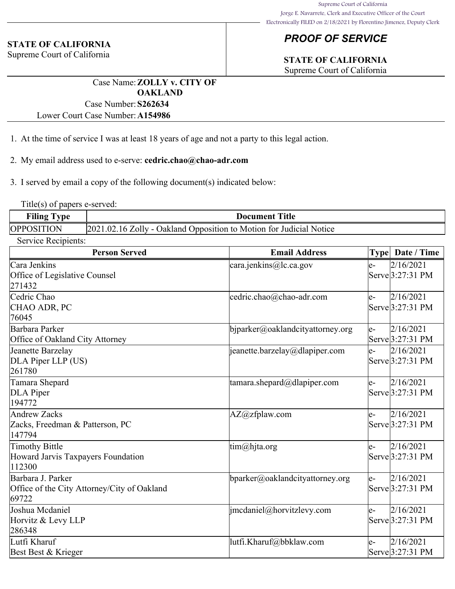# *PROOF OF SERVICE*

# **STATE OF CALIFORNIA**

Supreme Court of California

# **STATE OF CALIFORNIA**

Supreme Court of California

Case Name:**ZOLLY v. CITY OF OAKLAND** Case Number:**S262634**

Lower Court Case Number:**A154986**

- 1. At the time of service I was at least 18 years of age and not a party to this legal action.
- 2. My email address used to e-serve: **cedric.chao@chao-adr.com**

3. I served by email a copy of the following document(s) indicated below:

Title(s) of papers e-served:

| <b>Filing Type</b> | Document Title                                                      |  |  |
|--------------------|---------------------------------------------------------------------|--|--|
| <b>OPPOSITION</b>  | 2021.02.16 Zolly - Oakland Opposition to Motion for Judicial Notice |  |  |

| Service Recipients: |  |
|---------------------|--|
|                     |  |

| <b>Person Served</b>                        | <b>Email Address</b>             |       | Type Date / Time                 |
|---------------------------------------------|----------------------------------|-------|----------------------------------|
| Cara Jenkins                                | cara.jenkins@lc.ca.gov           | le-   | 2/16/2021                        |
| Office of Legislative Counsel               |                                  |       | Serve 3:27:31 PM                 |
| 271432                                      |                                  |       |                                  |
| Cedric Chao                                 | cedric.chao@chao-adr.com         | le-   | 2/16/2021                        |
| CHAO ADR, PC                                |                                  |       | Serve <sup>[3:27:31 PM]</sup>    |
| 76045                                       |                                  |       |                                  |
| Barbara Parker                              | bjparker@oaklandcityattorney.org | $ e-$ | 2/16/2021                        |
| Office of Oakland City Attorney             |                                  |       | Serve 3:27:31 PM                 |
| Jeanette Barzelay                           | jeanette.barzelay@dlapiper.com   | le-   | 2/16/2021                        |
| DLA Piper LLP (US)                          |                                  |       | Serve 3:27:31 PM                 |
| 261780                                      |                                  |       |                                  |
| Tamara Shepard                              | tamara.shepard@dlapiper.com      | le-   | 2/16/2021                        |
| DLA Piper                                   |                                  |       | $\text{Serve}3:27:31 \text{ PM}$ |
| 194772                                      |                                  |       |                                  |
| Andrew Zacks                                | AZ@zfplaw.com                    | le-   | 2/16/2021                        |
| Zacks, Freedman & Patterson, PC             |                                  |       | $\text{Serve}3:27:31 \text{ PM}$ |
| 147794                                      |                                  |       |                                  |
| Timothy Bittle                              | $\lim(\omega)$ hjta.org          | le-   | 2/16/2021                        |
| Howard Jarvis Taxpayers Foundation          |                                  |       | Serve 3:27:31 PM                 |
| 112300                                      |                                  |       |                                  |
| Barbara J. Parker                           | bparker@oaklandcityattorney.org  | le-   | 2/16/2021                        |
| Office of the City Attorney/City of Oakland |                                  |       | Serve 3:27:31 PM                 |
| 69722                                       |                                  |       |                                  |
| Joshua Mcdaniel                             | jmcdaniel@horvitzlevy.com        | le-   | 2/16/2021                        |
| Horvitz & Levy LLP                          |                                  |       | Serve <sup>[3:27:31 PM]</sup>    |
| 286348                                      |                                  |       |                                  |
| Lutfi Kharuf                                | lutfi.Kharuf@bbklaw.com          | le-   | 2/16/2021                        |
| Best Best & Krieger                         |                                  |       | $\text{Serve}$ 3:27:31 PM        |